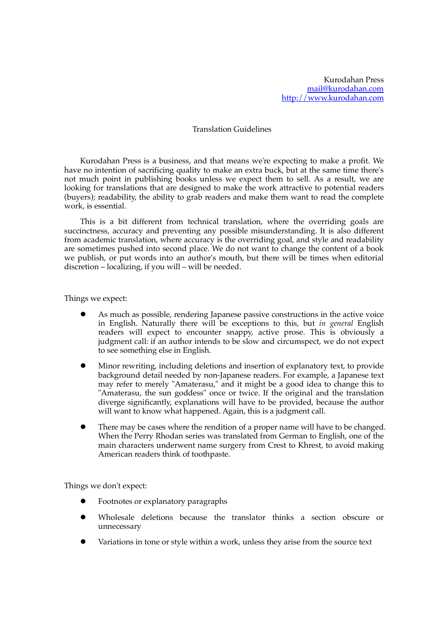## Translation Guidelines

Kurodahan Press is a business, and that means we're expecting to make a profit. We have no intention of sacrificing quality to make an extra buck, but at the same time there's not much point in publishing books unless we expect them to sell. As a result, we are looking for translations that are designed to make the work attractive to potential readers (buyers); readability, the ability to grab readers and make them want to read the complete work, is essential.

This is a bit different from technical translation, where the overriding goals are succinctness, accuracy and preventing any possible misunderstanding. It is also different from academic translation, where accuracy is the overriding goal, and style and readability are sometimes pushed into second place. We do not want to change the content of a book we publish, or put words into an author's mouth, but there will be times when editorial discretion – localizing, if you will – will be needed.

Things we expect:

- l As much as possible, rendering Japanese passive constructions in the active voice in English. Naturally there will be exceptions to this, but *in general* English readers will expect to encounter snappy, active prose. This is obviously a judgment call: if an author intends to be slow and circumspect, we do not expect to see something else in English.
- l Minor rewriting, including deletions and insertion of explanatory text, to provide background detail needed by non-Japanese readers. For example, a Japanese text may refer to merely "Amaterasu," and it might be a good idea to change this to "Amaterasu, the sun goddess" once or twice. If the original and the translation diverge significantly, explanations will have to be provided, because the author will want to know what happened. Again, this is a judgment call.
- There may be cases where the rendition of a proper name will have to be changed. When the Perry Rhodan series was translated from German to English, one of the main characters underwent name surgery from Crest to Khrest, to avoid making American readers think of toothpaste.

Things we don't expect:

- l Footnotes or explanatory paragraphs
- l Wholesale deletions because the translator thinks a section obscure or unnecessary
- Variations in tone or style within a work, unless they arise from the source text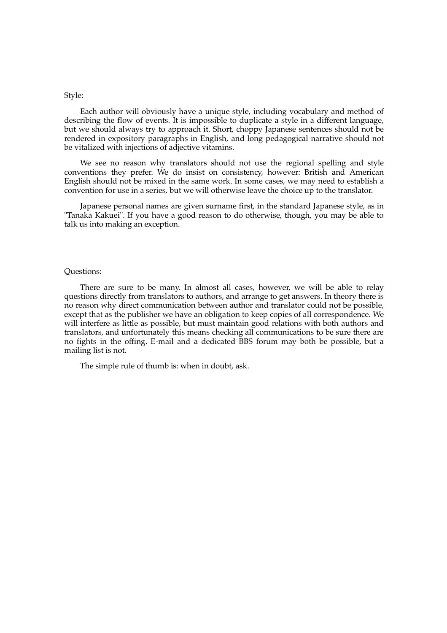## Style:

Each author will obviously have a unique style, including vocabulary and method of describing the flow of events. It is impossible to duplicate a style in a different language, but we should always try to approach it. Short, choppy Japanese sentences should not be rendered in expository paragraphs in English, and long pedagogical narrative should not be vitalized with injections of adjective vitamins.

We see no reason why translators should not use the regional spelling and style conventions they prefer. We do insist on consistency, however: British and American English should not be mixed in the same work. In some cases, we may need to establish a convention for use in a series, but we will otherwise leave the choice up to the translator.

Japanese personal names are given surname first, in the standard Japanese style, as in "Tanaka Kakuei". If you have a good reason to do otherwise, though, you may be able to talk us into making an exception.

## Questions:

There are sure to be many. In almost all cases, however, we will be able to relay questions directly from translators to authors, and arrange to get answers. In theory there is no reason why direct communication between author and translator could not be possible, except that as the publisher we have an obligation to keep copies of all correspondence. We will interfere as little as possible, but must maintain good relations with both authors and translators, and unfortunately this means checking all communications to be sure there are no fights in the offing. E-mail and a dedicated BBS forum may both be possible, but a mailing list is not.

The simple rule of thumb is: when in doubt, ask.